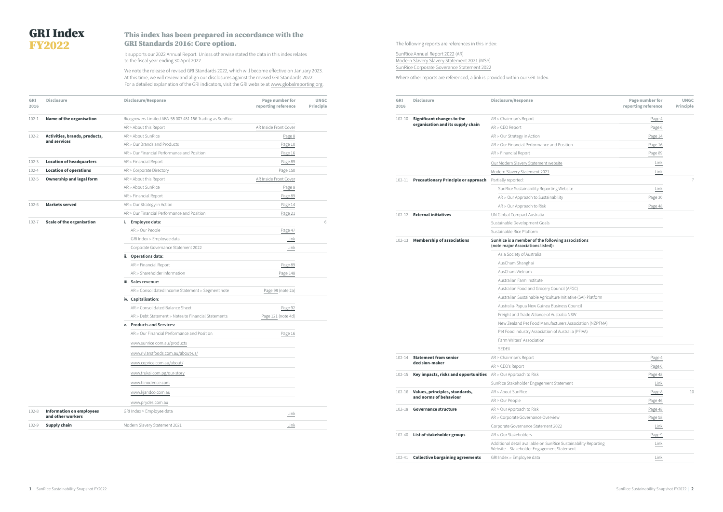| GRI<br>2016 | <b>Disclosure</b>                                    | <b>Disclosure/Response</b>                                | Page number for<br>reporting reference | <b>UNGC</b><br><b>Principle</b> |
|-------------|------------------------------------------------------|-----------------------------------------------------------|----------------------------------------|---------------------------------|
| $102 - 1$   | Name of the organisation                             | Ricegrowers Limited ABN 55 007 481 156 Trading as SunRice |                                        |                                 |
|             |                                                      | $AR >$ About this Report                                  | AR Inside Front Cover                  |                                 |
| $102 - 2$   | Activities, brands, products,                        | AR > About SunRice                                        | Page 8                                 |                                 |
|             | and services                                         | AR > Our Brands and Products                              | Page 10                                |                                 |
|             |                                                      | AR > Our Financial Performance and Position               | Page 16                                |                                 |
| $102 - 3$   | <b>Location of headquarters</b>                      | AR > Financial Report                                     | Page 89                                |                                 |
| $102 - 4$   | <b>Location of operations</b>                        | AR > Corporate Directory                                  | Page 150                               |                                 |
| $102 - 5$   | <b>Ownership and legal form</b>                      | $AR >$ About this Report                                  | AR Inside Front Cover                  |                                 |
|             |                                                      | AR > About SunRice                                        | Page 8                                 |                                 |
|             |                                                      | AR > Financial Report                                     | Page 89                                |                                 |
| $102 - 6$   | <b>Markets served</b>                                | AR > Our Strategy in Action                               | Page 14                                |                                 |
|             |                                                      | AR > Our Financial Performance and Position               | Page 21                                |                                 |
| $102 - 7$   | <b>Scale of the organisation</b>                     | i. Employee data:                                         |                                        | 6                               |
|             |                                                      | AR > Our People                                           | Page 47                                |                                 |
|             |                                                      | GRI Index > Employee data                                 | Link                                   |                                 |
|             |                                                      | Corporate Governance Statement 2022                       | Link                                   |                                 |
|             |                                                      | ii. Operations data:                                      |                                        |                                 |
|             |                                                      | AR > Financial Report                                     | Page 89                                |                                 |
|             |                                                      | AR > Shareholder Information                              | Page 148                               |                                 |
|             |                                                      | iii. Sales revenue:                                       |                                        |                                 |
|             |                                                      | AR > Consolidated Income Statement > Segment note         | Page 98 (note 2a)                      |                                 |
|             |                                                      | iv. Capitalisation:                                       |                                        |                                 |
|             |                                                      | AR > Consolidated Balance Sheet                           | Page 92                                |                                 |
|             |                                                      | AR > Debt Statement > Notes to Financial Statements       | Page 121 (note 4d)                     |                                 |
|             |                                                      | v. Products and Services:                                 |                                        |                                 |
|             |                                                      | AR > Our Financial Performance and Position               | Page 16                                |                                 |
|             |                                                      | www.sunrice.com.au/products                               |                                        |                                 |
|             |                                                      | www.rivianafoods.com.au/about-us/                         |                                        |                                 |
|             |                                                      | www.coprice.com.au/about/                                 |                                        |                                 |
|             |                                                      | www.trukai.com.pg/our-story                               |                                        |                                 |
|             |                                                      | www.hinoderice.com                                        |                                        |                                 |
|             |                                                      | www.kjandco.com.au                                        |                                        |                                 |
|             |                                                      | www.prydes.com.au                                         |                                        |                                 |
| $102 - 8$   | <b>Information on employees</b><br>and other workers | GRI Index > Employee data                                 | Link                                   |                                 |
| 102-9       | Supply chain                                         | Modern Slavery Statement 2021                             | Link                                   |                                 |
|             |                                                      |                                                           |                                        |                                 |

| GRI<br>2016 | <b>Disclosure</b>                                                     | <b>Disclosure/Response</b>                                                                                    | Page number for<br>reporting reference | <b>UNGC</b><br><b>Principle</b> |
|-------------|-----------------------------------------------------------------------|---------------------------------------------------------------------------------------------------------------|----------------------------------------|---------------------------------|
| $102 - 10$  | <b>Significant changes to the</b>                                     | AR > Chairman's Report                                                                                        | Page 4                                 |                                 |
|             | organisation and its supply chain                                     | $AR >$ CEO Report                                                                                             | Page 6                                 |                                 |
|             |                                                                       | AR > Our Strategy in Action                                                                                   | Page 14                                |                                 |
|             |                                                                       | AR > Our Financial Performance and Position                                                                   | Page 16                                |                                 |
|             |                                                                       | AR > Financial Report                                                                                         | Page 89                                |                                 |
|             |                                                                       | Our Modern Slavery Statement website                                                                          | Link                                   |                                 |
|             |                                                                       | Modern Slavery Statement 2021                                                                                 | Link                                   |                                 |
| $102 - 11$  | <b>Precautionary Principle or approach</b>                            | Partially reported:                                                                                           |                                        | $\overline{7}$                  |
|             |                                                                       | SunRice Sustainability Reporting Website                                                                      | Link                                   |                                 |
|             |                                                                       | AR > Our Approach to Sustainability                                                                           | Page 30                                |                                 |
|             |                                                                       | AR > Our Approach to Risk                                                                                     | Page 48                                |                                 |
| 102-12      | <b>External initiatives</b>                                           | UN Global Compact Australia                                                                                   |                                        |                                 |
|             |                                                                       | Sustainable Development Goals                                                                                 |                                        |                                 |
|             |                                                                       | Sustainable Rice Platform                                                                                     |                                        |                                 |
| $102 - 13$  | <b>Membership of associations</b>                                     | SunRice is a member of the following associations<br>(note major Associations listed):                        |                                        |                                 |
|             |                                                                       | Asia Society of Australia                                                                                     |                                        |                                 |
|             |                                                                       | AusCham Shanghai                                                                                              |                                        |                                 |
|             |                                                                       | AusCham Vietnam                                                                                               |                                        |                                 |
|             |                                                                       | Australian Farm Institute                                                                                     |                                        |                                 |
|             |                                                                       | Australian Food and Grocery Council (AFGC)                                                                    |                                        |                                 |
|             |                                                                       | Australian Sustainable Agriculture Initiative (SAI) Platform                                                  |                                        |                                 |
|             |                                                                       | Australia-Papua New Guinea Business Council                                                                   |                                        |                                 |
|             |                                                                       | Freight and Trade Alliance of Australia NSW                                                                   |                                        |                                 |
|             |                                                                       | New Zealand Pet Food Manufacturers Association (NZPFMA)                                                       |                                        |                                 |
|             |                                                                       | Pet Food Industry Association of Australia (PFIAA)                                                            |                                        |                                 |
|             |                                                                       | Farm Writers' Association                                                                                     |                                        |                                 |
|             |                                                                       | <b>SEDEX</b>                                                                                                  |                                        |                                 |
| 102-14      | <b>Statement from senior</b>                                          | AR > Chairman's Report                                                                                        | Page 4                                 |                                 |
|             | decision-maker                                                        | $AR >$ CEO's Report                                                                                           | Page 6                                 |                                 |
| 102-15      | <b>Key impacts, risks and opportunities</b> AR > Our Approach to Risk |                                                                                                               | Page 48                                |                                 |
|             |                                                                       | SunRice Stakeholder Engagement Statement                                                                      | Link                                   |                                 |
| 102-16      | Values, principles, standards,                                        | AR > About SunRice                                                                                            | Page 8                                 | 10                              |
|             | and norms of behaviour                                                | AR > Our People                                                                                               | Page 46                                |                                 |
| $102 - 18$  | <b>Governance structure</b>                                           | AR > Our Approach to Risk                                                                                     | Page 48                                |                                 |
|             |                                                                       | AR > Corporate Governance Overview                                                                            | Page 58                                |                                 |
|             |                                                                       | Corporate Governance Statement 2022                                                                           | Link                                   |                                 |
| 102-40      | List of stakeholder groups                                            | AR > Our Stakeholders                                                                                         | Page 9                                 |                                 |
|             |                                                                       | Additional detail available on SunRice Sustainability Reporting<br>Website - Stakeholder Engagement Statement | Link                                   |                                 |
| 102-41      | <b>Collective bargaining agreements</b>                               | GRI Index > Employee data                                                                                     | Link                                   |                                 |

|        | I<br>٦    |  |
|--------|-----------|--|
| ٦<br>i | í,<br>. . |  |

## This index has been prepared in accordance with the GRI Standards 2016: Core option.

It supports our 2022 Annual Report. Unless otherwise stated the data in this index relates to the fiscal year ending 30 April 2022.

We note the release of revised GRI Standards 2022, which will become effective on January 2023. At this time, we will review and align our disclosures against the revised GRI Standards 2022. For a detailed explanation of the GRI indicators, visit the GRI website at [www.globalreporting.org](http://www.globalreporting.org).

The following reports are references in this index:

[SunRice Annual Report 202](https://sunrice.com.au/AR22)2 (AR) [Modern Slavery Slavery Statement](https://investors.sunrice.com.au/FormBuilder/_Resource/_module/2weQNICYSUy13FE_jxQXvg/file/sustainability-reports/2021_ModernSlaveryStatement.pdf) 2021 (MSS) [SunRice Corporate Goverance Statemen](http://www.sunrice.com.au/corporate-governance)t 2022

Where other reports are referenced, a link is provided within our GRI Index.

## GRI Index FY2022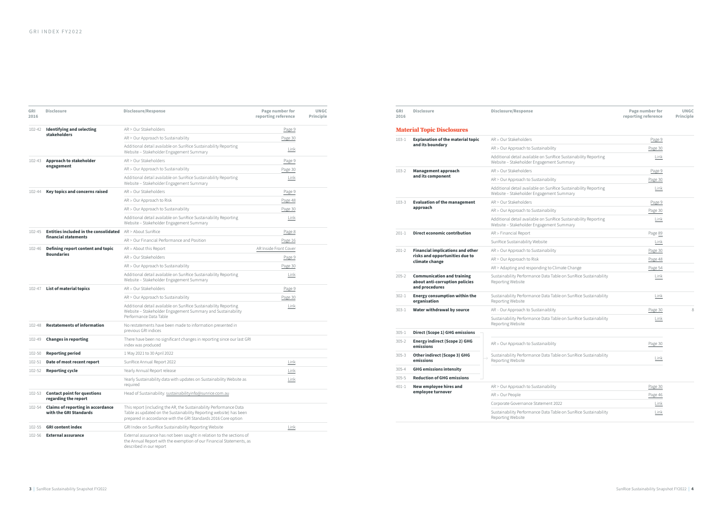| GRI<br>2016 | <b>Disclosure</b>                                                  | <b>Disclosure/Response</b>                                                                                                                                                                                 | Page number for<br>reporting reference | <b>UNGC</b><br><b>Principle</b> |
|-------------|--------------------------------------------------------------------|------------------------------------------------------------------------------------------------------------------------------------------------------------------------------------------------------------|----------------------------------------|---------------------------------|
| 102-42      | <b>Identifying and selecting</b>                                   | AR > Our Stakeholders                                                                                                                                                                                      | Page 9                                 |                                 |
|             | stakeholders                                                       | AR > Our Approach to Sustainability                                                                                                                                                                        | Page 30                                |                                 |
|             |                                                                    | Additional detail available on SunRice Sustainability Reporting<br>Website - Stakeholder Engagement Summary                                                                                                | Link                                   |                                 |
| 102-43      | Approach to stakeholder                                            | AR > Our Stakeholders                                                                                                                                                                                      | Page 9                                 |                                 |
|             | engagement                                                         | AR > Our Approach to Sustainability                                                                                                                                                                        | Page 30                                |                                 |
|             |                                                                    | Additional detail available on SunRice Sustainability Reporting<br>Website - Stakeholder Engagement Summary                                                                                                | Link                                   |                                 |
| 102-44      | <b>Key topics and concerns raised</b>                              | AR > Our Stakeholders                                                                                                                                                                                      | Page 9                                 |                                 |
|             |                                                                    | AR > Our Approach to Risk                                                                                                                                                                                  | Page 48                                |                                 |
|             |                                                                    | AR > Our Approach to Sustainability                                                                                                                                                                        | Page 30                                |                                 |
|             |                                                                    | Additional detail available on SunRice Sustainability Reporting<br>Website - Stakeholder Engagement Summary                                                                                                | Link                                   |                                 |
| 102-45      | Entities included in the consolidated                              | AR > About SunRice                                                                                                                                                                                         | Page 8                                 |                                 |
|             | financial statements                                               | AR > Our Financial Performance and Position                                                                                                                                                                | Page 16                                |                                 |
| 102-46      | Defining report content and topic<br><b>Boundaries</b>             | $AR >$ About this Report                                                                                                                                                                                   | AR Inside Front Cover                  |                                 |
|             |                                                                    | AR > Our Stakeholders                                                                                                                                                                                      | Page 9                                 |                                 |
|             |                                                                    | AR > Our Approach to Sustainability                                                                                                                                                                        | Page 30                                |                                 |
|             |                                                                    | Additional detail available on SunRice Sustainability Reporting<br>Website - Stakeholder Engagement Summary                                                                                                | Link                                   |                                 |
| 102-47      | <b>List of material topics</b>                                     | AR > Our Stakeholders                                                                                                                                                                                      | Page 9                                 |                                 |
|             |                                                                    | AR > Our Approach to Sustainability                                                                                                                                                                        | Page 30                                |                                 |
|             |                                                                    | Additional detail available on SunRice Sustainability Reporting<br>Website - Stakeholder Engagement Summary and Sustainability<br>Performance Data Table                                                   | Link                                   |                                 |
| 102-48      | <b>Restatements of information</b>                                 | No restatements have been made to information presented in<br>previous GRI indices                                                                                                                         |                                        |                                 |
| 102-49      | <b>Changes in reporting</b>                                        | There have been no significant changes in reporting since our last GRI<br>index was produced                                                                                                               |                                        |                                 |
| 102-50      | <b>Reporting period</b>                                            | 1 May 2021 to 30 April 2022                                                                                                                                                                                |                                        |                                 |
| 102-51      | Date of most recent report                                         | SunRice Annual Report 2022                                                                                                                                                                                 | Link                                   |                                 |
| 102-52      | <b>Reporting cycle</b>                                             | Yearly Annual Report release                                                                                                                                                                               | Link                                   |                                 |
|             |                                                                    | Yearly Sustainability data with updates on Sustainability Website as<br>required                                                                                                                           | Link                                   |                                 |
| 102-53      | <b>Contact point for questions</b><br>regarding the report         | Head of Sustainability: sustainabilityinfo@sunrice.com.au                                                                                                                                                  |                                        |                                 |
| 102-54      | <b>Claims of reporting in accordance</b><br>with the GRI Standards | This report (including the AR, the Sustainability Performance Data<br>Table as updated on the Sustainability Reporting website) has been<br>prepared in accordance with the GRI Standards 2016 Core option |                                        |                                 |
| 102-55      | <b>GRI content index</b>                                           | GRI Index on SunRice Sustainability Reporting Website                                                                                                                                                      | Link                                   |                                 |
| 102-56      | <b>External assurance</b>                                          | External assurance has not been sought in relation to the sections of<br>the Annual Report with the exemption of our Financial Statements, as<br>described in our report                                   |                                        |                                 |

| GRI<br>2016 | <b>Disclosure</b>                                                                           | <b>Disclosure/Response</b>                                                                                  | Page number for<br>reporting reference | <b>UNGC</b><br><b>Principle</b> |
|-------------|---------------------------------------------------------------------------------------------|-------------------------------------------------------------------------------------------------------------|----------------------------------------|---------------------------------|
|             | <b>Material Topic Disclosures</b>                                                           |                                                                                                             |                                        |                                 |
| $103 - 1$   | <b>Explanation of the material topic</b>                                                    | AR > Our Stakeholders                                                                                       | Page 9                                 |                                 |
|             | and its boundary                                                                            | AR > Our Approach to Sustainability                                                                         | Page 30                                |                                 |
|             |                                                                                             | Additional detail available on SunRice Sustainability Reporting<br>Website - Stakeholder Engagement Summary | Link                                   |                                 |
| $103 - 2$   | <b>Management approach</b>                                                                  | AR > Our Stakeholders                                                                                       | Page 9                                 |                                 |
|             | and its component                                                                           | AR > Our Approach to Sustainability                                                                         | Page 30                                |                                 |
|             |                                                                                             | Additional detail available on SunRice Sustainability Reporting<br>Website - Stakeholder Engagement Summary | Link                                   |                                 |
| $103 - 3$   | <b>Evaluation of the management</b>                                                         | AR > Our Stakeholders                                                                                       | Page 9                                 |                                 |
|             | approach                                                                                    | AR > Our Approach to Sustainability                                                                         | Page 30                                |                                 |
|             |                                                                                             | Additional detail available on SunRice Sustainability Reporting<br>Website - Stakeholder Engagement Summary | Link                                   |                                 |
| $201 - 1$   | <b>Direct economic contribution</b>                                                         | AR > Financial Report                                                                                       | Page 89                                |                                 |
|             |                                                                                             | SunRice Sustainability Website                                                                              | Link                                   |                                 |
| $201 - 2$   | <b>Financial implications and other</b><br>risks and opportunities due to<br>climate change | AR > Our Approach to Sustainability                                                                         | Page 30                                |                                 |
|             |                                                                                             | AR > Our Approach to Risk                                                                                   | Page 48                                |                                 |
|             |                                                                                             | AR > Adapting and responding to Climate Change                                                              | Page 54                                |                                 |
| $205 - 2$   | <b>Communication and training</b><br>about anti-corruption policies<br>and procedures       | Sustainability Performance Data Table on SunRice Sustainability<br>Reporting Website                        | Link                                   |                                 |
| $302 - 1$   | <b>Energy consumption within the</b><br>organisation                                        | Sustainability Performance Data Table on SunRice Sustainability<br>Reporting Website                        | Link                                   |                                 |
| $303 - 1$   | Water withdrawal by source                                                                  | AR > Our Approach to Sustainaiblity                                                                         | Page 30                                | 8                               |
|             |                                                                                             | Sustainability Performance Data Table on SunRice Sustainability<br>Reporting Website                        | Link                                   |                                 |
| $305 - 1$   | <b>Direct (Scope 1) GHG emissions</b>                                                       |                                                                                                             |                                        |                                 |
| $305 - 2$   | <b>Energy indirect (Scope 2) GHG</b><br>emissions                                           | AR > Our Approach to Sustainaiblity                                                                         | Page 30                                |                                 |
| $305 - 3$   | Other indirect (Scope 3) GHG<br>emissions                                                   | Sustainability Performance Data Table on SunRice Sustainability<br>Reporting Website                        | Link                                   |                                 |
| $305 - 4$   | <b>GHG emissions intensity</b>                                                              |                                                                                                             |                                        |                                 |
| $305 - 5$   | <b>Reduction of GHG emissions</b>                                                           |                                                                                                             |                                        |                                 |
| $401 - 1$   | New employee hires and                                                                      | AR > Our Approach to Sustainability                                                                         | Page 30                                |                                 |
|             | employee turnover                                                                           | AR > Our People                                                                                             | Page 46                                |                                 |
|             |                                                                                             | Corporate Governance Statement 2022                                                                         | Link                                   |                                 |
|             |                                                                                             | Sustainability Performance Data Table on SunRice Sustainability<br>Reporting Website                        | Link                                   |                                 |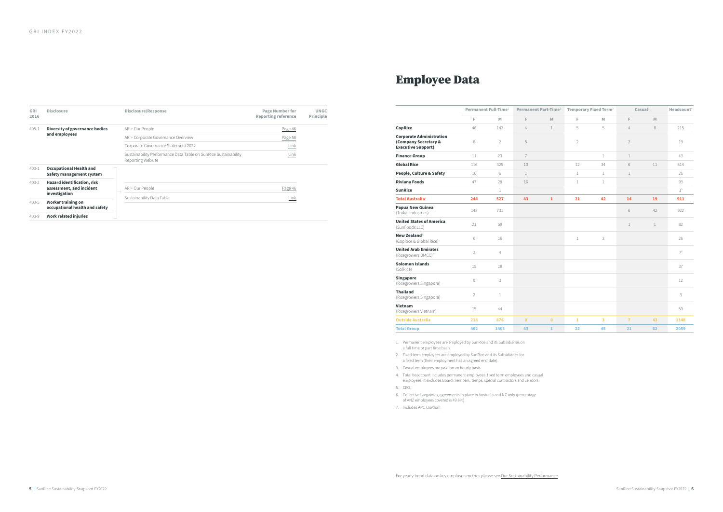| GRI<br>2016 | <b>Disclosure</b>                                                        | Disclosure/Response                                                                  | <b>Page Number for</b><br><b>Reporting reference</b> | <b>UNGC</b><br><b>Principle</b> |
|-------------|--------------------------------------------------------------------------|--------------------------------------------------------------------------------------|------------------------------------------------------|---------------------------------|
| $405 - 1$   | Diversity of governance bodies                                           | AR > Our People                                                                      | Page 46                                              |                                 |
|             | and employees                                                            | AR > Corporate Governance Overview                                                   | Page 58                                              |                                 |
|             |                                                                          | Corporate Governance Statement 2022                                                  | <u>Link</u>                                          |                                 |
|             |                                                                          | Sustainability Performance Data Table on SunRice Sustainability<br>Reporting Website | Link                                                 |                                 |
| $403 - 1$   | <b>Occupational Health and</b><br>Safety management system               |                                                                                      |                                                      |                                 |
| $403 - 2$   | Hazard identification, risk<br>assessment, and incident<br>investigation | AR > Our People                                                                      | Page 46                                              |                                 |
| $403 - 5$   | <b>Worker training on</b><br>occupational health and safety              | Sustainability Data Table                                                            | Link                                                 |                                 |
| $403 - 9$   | <b>Work related injuries</b>                                             |                                                                                      |                                                      |                                 |

## Employee Data

|                                                                                      | Permanent Full-Time <sup>1</sup> |                | Permanent Part-Time <sup>1</sup> |              | Temporary Fixed Term <sup>2</sup> |              | Casual <sup>3</sup> |              | Headcount <sup>4</sup> |
|--------------------------------------------------------------------------------------|----------------------------------|----------------|----------------------------------|--------------|-----------------------------------|--------------|---------------------|--------------|------------------------|
|                                                                                      | F.                               | M              | F                                | M            | F                                 | M            | F                   | M            |                        |
| CopRice                                                                              | 46                               | 142            | $\overline{4}$                   | $\mathbf{1}$ | 5                                 | 5            | $\overline{4}$      | 8            | 215                    |
| <b>Corporate Administration</b><br>(Company Secretary &<br><b>Executive Support)</b> | 8                                | $\overline{2}$ | 5                                |              | $\overline{2}$                    |              | $\overline{2}$      |              | 19                     |
| <b>Finance Group</b>                                                                 | 11                               | 23             | $\overline{7}$                   |              |                                   | $\mathbf{1}$ | $\mathbf{1}$        |              | 43                     |
| <b>Global Rice</b>                                                                   | 116                              | 325            | 10                               |              | 12                                | 34           | 6                   | 11           | 514                    |
| People, Culture & Safety                                                             | 16                               | 6              | $\mathbf{1}$                     |              | 1                                 | $\mathbf{1}$ | $\mathbf{1}$        |              | 26                     |
| <b>Riviana Foods</b>                                                                 | 47                               | 28             | 16                               |              | $\mathbf{1}$                      | $\mathbf{1}$ |                     |              | 93                     |
| <b>SunRice</b>                                                                       |                                  | $\mathbf{1}$   |                                  |              |                                   |              |                     |              | 1 <sup>5</sup>         |
| <b>Total Australia</b> <sup>6</sup>                                                  | 244                              | 527            | 43                               | $\mathbf 1$  | 21                                | 42           | 14                  | 19           | 911                    |
| Papua New Guinea<br>(Trukai Industries)                                              | 143                              | 731            |                                  |              |                                   |              | 6                   | 42           | 922                    |
| <b>United States of America</b><br>(SunFoods LLC)                                    | 21                               | 59             |                                  |              |                                   |              | $\mathbf{1}$        | $\mathbf{1}$ | 82                     |
| New Zealand <sup>6</sup><br>(CopRice & Global Rice)                                  | 6                                | 16             |                                  |              | $\mathbf{1}$                      | 3            |                     |              | 26                     |
| <b>United Arab Emirates</b><br>(Ricegrowers DMCC) <sup>7</sup>                       | 3                                | $\overline{4}$ |                                  |              |                                   |              |                     |              | 7 <sup>6</sup>         |
| <b>Solomon Islands</b><br>(SolRice)                                                  | 19                               | 18             |                                  |              |                                   |              |                     |              | 37                     |
| <b>Singapore</b><br>(Ricegrowers Singapore)                                          | 9                                | 3              |                                  |              |                                   |              |                     |              | 12                     |
| <b>Thailand</b><br>(Ricegrowers Singapore)                                           | $\overline{2}$                   | $\mathbf{1}$   |                                  |              |                                   |              |                     |              | 3                      |
| Vietnam<br>(Ricegrowers Vietnam)                                                     | 15                               | 44             |                                  |              |                                   |              |                     |              | 59                     |
| <b>Outside Australia</b>                                                             | 218                              | 876            | $\mathbf{0}$                     | $\mathbf{0}$ | $\mathbf{1}$                      | 3            | $\overline{7}$      | 43           | 1148                   |
| <b>Total Group</b>                                                                   | 462                              | 1403           | 43                               | $\mathbf{1}$ | 22                                | 45           | 21                  | 62           | 2059                   |

1. Permanent employees are employed by SunRice and its Subsidiaries on a full time or part time basis.

- 2. Fixed term employees are employed by SunRice and its Subsidiaries for a fixed term (their employment has an agreed end date).
- 3. Casual employees are paid on an hourly basis.
- 4. Total headcount includes permanent employees, fixed term employees and casual employees. It excludes Board members, temps, special contractors and vendors.
- 5. CEO.
- 6. Collective bargaining agreements in place in Australia and NZ only (percentage of ANZ employees covered is 49.8%).
- 7. Includes APC (Jordon).